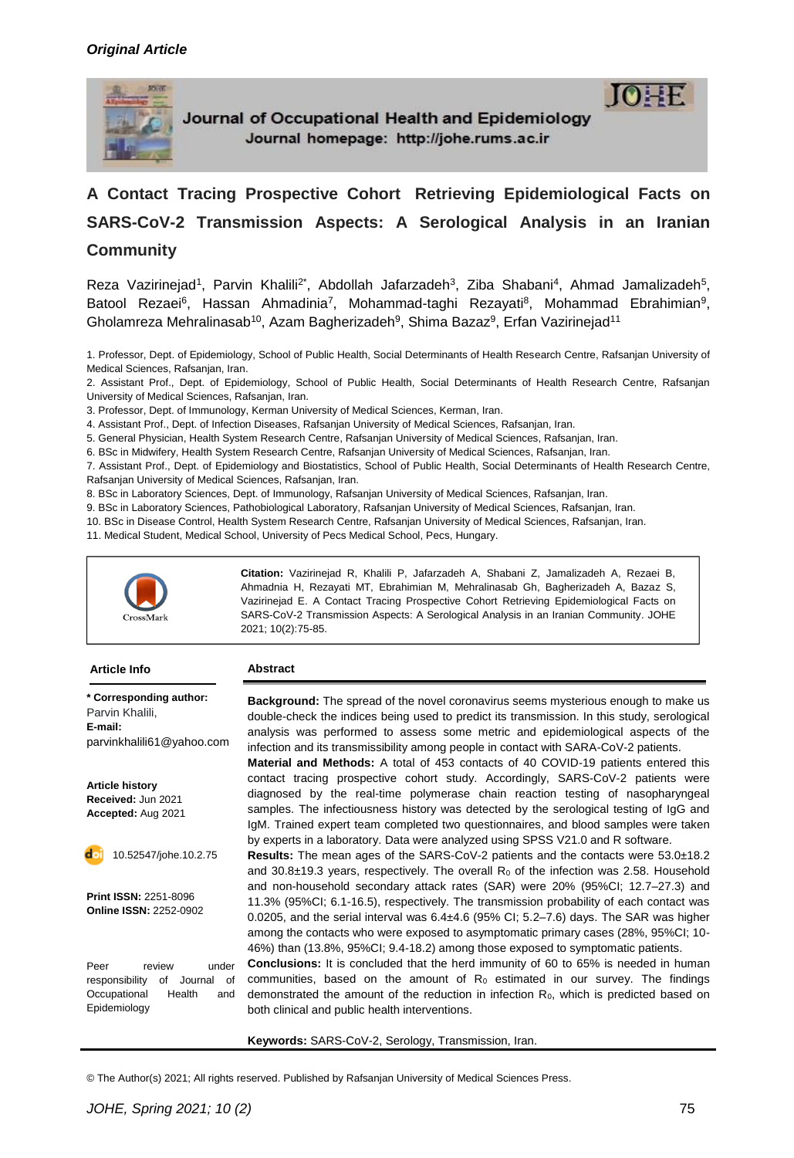

Journal of Occupational Health and Epidemiology Journal homepage: http://johe.rums.ac.ir



**A Contact Tracing Prospective Cohort Retrieving Epidemiological Facts on SARS-CoV-2 Transmission Aspects: A Serological Analysis in an Iranian Community**

Reza Vazirinejad<sup>1</sup>, Parvin Khalili<sup>2\*</sup>, Abdollah Jafarzadeh<sup>3</sup>, Ziba Shabani<sup>4</sup>, Ahmad Jamalizadeh<sup>5</sup>, Batool Rezaei<sup>6</sup>, Hassan Ahmadinia<sup>7</sup>, Mohammad-taghi Rezayati<sup>8</sup>, Mohammad Ebrahimian<sup>9</sup>, Gholamreza Mehralinasab<sup>10</sup>, Azam Bagherizadeh<sup>9</sup>, Shima Bazaz<sup>9</sup>, Erfan Vazirinejad<sup>11</sup>

1. Professor, Dept. of Epidemiology, School of Public Health, Social Determinants of Health Research Centre, Rafsanjan University of Medical Sciences, Rafsanjan, Iran.

2. Assistant Prof., Dept. of Epidemiology, School of Public Health, Social Determinants of Health Research Centre, Rafsanjan University of Medical Sciences, Rafsanjan, Iran.

3. Professor, Dept. of Immunology, Kerman University of Medical Sciences, Kerman, Iran.

4. Assistant Prof., Dept. of Infection Diseases, Rafsanjan University of Medical Sciences, Rafsanjan, Iran.

5. General Physician, Health System Research Centre, Rafsanjan University of Medical Sciences, Rafsanjan, Iran.

6. BSc in Midwifery, Health System Research Centre, Rafsanjan University of Medical Sciences, Rafsanjan, Iran.

7. Assistant Prof., Dept. of Epidemiology and Biostatistics, School of Public Health, Social Determinants of Health Research Centre, Rafsanjan University of Medical Sciences, Rafsanjan, Iran.

8. BSc in Laboratory Sciences, Dept. of Immunology, Rafsanjan University of Medical Sciences, Rafsanjan, Iran.

9. BSc in Laboratory Sciences, Pathobiological Laboratory, Rafsanjan University of Medical Sciences, Rafsanjan, Iran.

10. BSc in Disease Control, Health System Research Centre, Rafsanjan University of Medical Sciences, Rafsanjan, Iran.

11. Medical Student, Medical School, University of Pecs Medical School, Pecs, Hungary.



**Citation:** Vazirinejad R, Khalili P, Jafarzadeh A, Shabani Z, Jamalizadeh A, Rezaei B, Ahmadnia H, Rezayati MT, Ebrahimian M, Mehralinasab Gh, Bagherizadeh A, Bazaz S, Vazirinejad E. A Contact Tracing Prospective Cohort Retrieving Epidemiological Facts on SARS-CoV-2 Transmission Aspects: A Serological Analysis in an Iranian Community. JOHE 2021; 10(2):75-85.

#### **Abstract**

**\* Corresponding author:** Parvin Khalili, **E-mail:** [parvinkhalili61@yahoo.com](mailto:rashidi.r@lums.ac.ir)

**Article history Received:** Jun 2021 **Accepted:** Aug 2021

10.52547/johe.10.2.75

**Print ISSN:** 2251-8096 **Online ISSN:** 2252-0902

Peer review under responsibility of Journal of Occupational Health and Epidemiology

**Background:** The spread of the novel coronavirus seems mysterious enough to make us double-check the indices being used to predict its transmission. In this study, serological analysis was performed to assess some metric and epidemiological aspects of the infection and its transmissibility among people in contact with SARA-CoV-2 patients.

**Material and Methods:** A total of 453 contacts of 40 COVID-19 patients entered this contact tracing prospective cohort study. Accordingly, SARS-CoV-2 patients were diagnosed by the real-time polymerase chain reaction testing of nasopharyngeal samples. The infectiousness history was detected by the serological testing of IgG and IgM. Trained expert team completed two questionnaires, and blood samples were taken by experts in a laboratory. Data were analyzed using SPSS V21.0 and R software.

**Results:** The mean ages of the SARS-CoV-2 patients and the contacts were 53.0±18.2 and 30.8 $\pm$ 19.3 years, respectively. The overall  $R_0$  of the infection was 2.58. Household and non-household secondary attack rates (SAR) were 20% (95%CI; 12.7–27.3) and 11.3% (95%CI; 6.1-16.5), respectively. The transmission probability of each contact was 0.0205, and the serial interval was 6.4±4.6 (95% CI; 5.2–7.6) days. The SAR was higher among the contacts who were exposed to asymptomatic primary cases (28%, 95%CI; 10- 46%) than (13.8%, 95%CI; 9.4-18.2) among those exposed to symptomatic patients.

**Conclusions:** It is concluded that the herd immunity of 60 to 65% is needed in human communities, based on the amount of  $R_0$  estimated in our survey. The findings demonstrated the amount of the reduction in infection R<sub>0</sub>, which is predicted based on both clinical and public health interventions.

**Keywords:** SARS-CoV-2, Serology, Transmission, Iran.

© The Author(s) 2021; All rights reserved. Published by Rafsanjan University of Medical Sciences Press.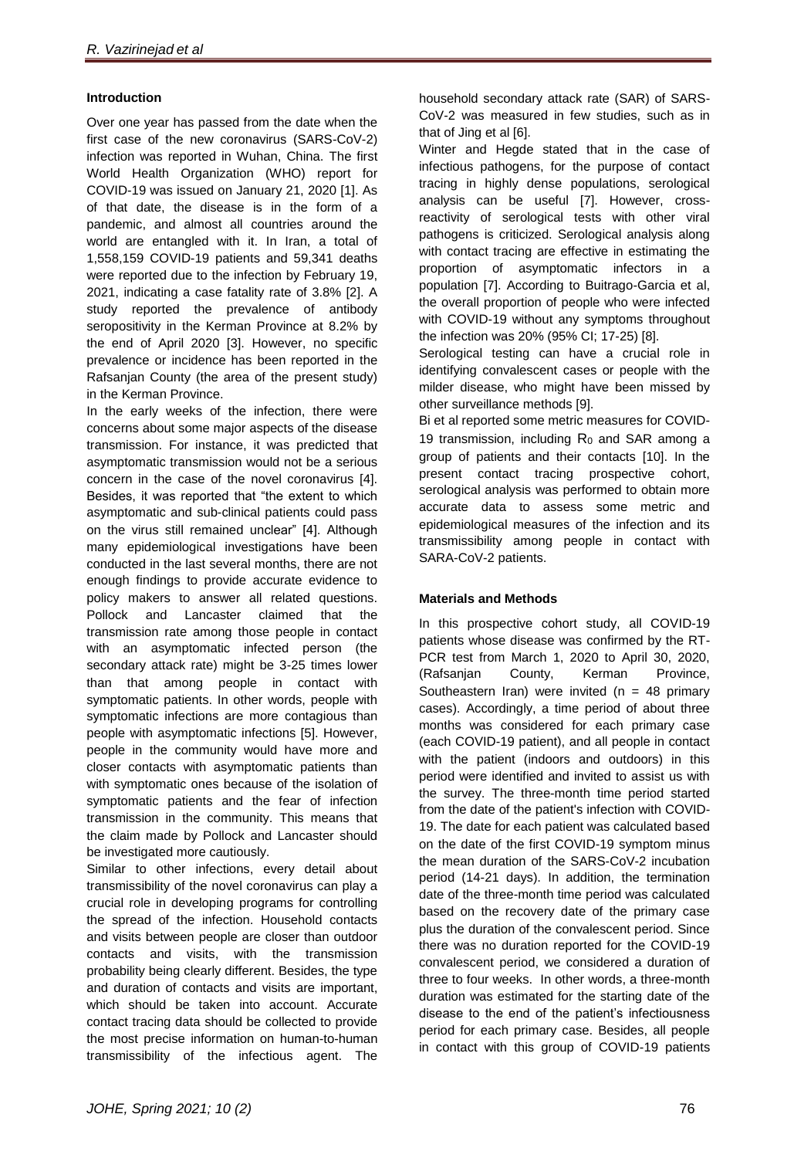## **Introduction**

Over one year has passed from the date when the first case of the new coronavirus (SARS-CoV-2) infection was reported in Wuhan, China. The first World Health Organization (WHO) report for COVID-19 was issued on January 21, 2020 [1]. As of that date, the disease is in the form of a pandemic, and almost all countries around the world are entangled with it. In Iran, a total of 1,558,159 COVID-19 patients and 59,341 deaths were reported due to the infection by February 19, 2021, indicating a case fatality rate of 3.8% [2]. A study reported the prevalence of antibody seropositivity in the Kerman Province at 8.2% by the end of April 2020 [3]. However, no specific prevalence or incidence has been reported in the Rafsanjan County (the area of the present study) in the Kerman Province.

In the early weeks of the infection, there were concerns about some major aspects of the disease transmission. For instance, it was predicted that asymptomatic transmission would not be a serious concern in the case of the novel coronavirus [4]. Besides, it was reported that "the extent to which asymptomatic and sub-clinical patients could pass on the virus still remained unclear" [4]. Although many epidemiological investigations have been conducted in the last several months, there are not enough findings to provide accurate evidence to policy makers to answer all related questions. Pollock and Lancaster claimed that the transmission rate among those people in contact with an asymptomatic infected person (the secondary attack rate) might be 3-25 times lower than that among people in contact with symptomatic patients. In other words, people with symptomatic infections are more contagious than people with asymptomatic infections [5]. However, people in the community would have more and closer contacts with asymptomatic patients than with symptomatic ones because of the isolation of symptomatic patients and the fear of infection transmission in the community. This means that the claim made by Pollock and Lancaster should be investigated more cautiously.

Similar to other infections, every detail about transmissibility of the novel coronavirus can play a crucial role in developing programs for controlling the spread of the infection. Household contacts and visits between people are closer than outdoor contacts and visits, with the transmission probability being clearly different. Besides, the type and duration of contacts and visits are important, which should be taken into account. Accurate contact tracing data should be collected to provide the most precise information on human-to-human transmissibility of the infectious agent. The

household secondary attack rate (SAR) of SARS-CoV-2 was measured in few studies, such as in that of Jing et al [6].

Winter and Hegde stated that in the case of infectious pathogens, for the purpose of contact tracing in highly dense populations, serological analysis can be useful [7]. However, crossreactivity of serological tests with other viral pathogens is criticized. Serological analysis along with contact tracing are effective in estimating the proportion of asymptomatic infectors in a population [7]. According to Buitrago-Garcia et al, the overall proportion of people who were infected with COVID-19 without any symptoms throughout the infection was 20% (95% CI; 17-25) [8].

Serological testing can have a crucial role in identifying convalescent cases or people with the milder disease, who might have been missed by other surveillance methods [9].

Bi et al reported some metric measures for COVID-19 transmission, including  $R_0$  and SAR among a group of patients and their contacts [10]. In the present contact tracing prospective cohort, serological analysis was performed to obtain more accurate data to assess some metric and epidemiological measures of the infection and its transmissibility among people in contact with SARA-CoV-2 patients.

### **Materials and Methods**

In this prospective cohort study, all COVID-19 patients whose disease was confirmed by the RT-PCR test from March 1, 2020 to April 30, 2020, (Rafsanjan County, Kerman Province, Southeastern Iran) were invited ( $n = 48$  primary cases). Accordingly, a time period of about three months was considered for each primary case (each COVID-19 patient), and all people in contact with the patient (indoors and outdoors) in this period were identified and invited to assist us with the survey. The three-month time period started from the date of the patient's infection with COVID-19. The date for each patient was calculated based on the date of the first COVID-19 symptom minus the mean duration of the SARS-CoV-2 incubation period (14-21 days). In addition, the termination date of the three-month time period was calculated based on the recovery date of the primary case plus the duration of the convalescent period. Since there was no duration reported for the COVID-19 convalescent period, we considered a duration of three to four weeks. In other words, a three-month duration was estimated for the starting date of the disease to the end of the patient's infectiousness period for each primary case. Besides, all people in contact with this group of COVID-19 patients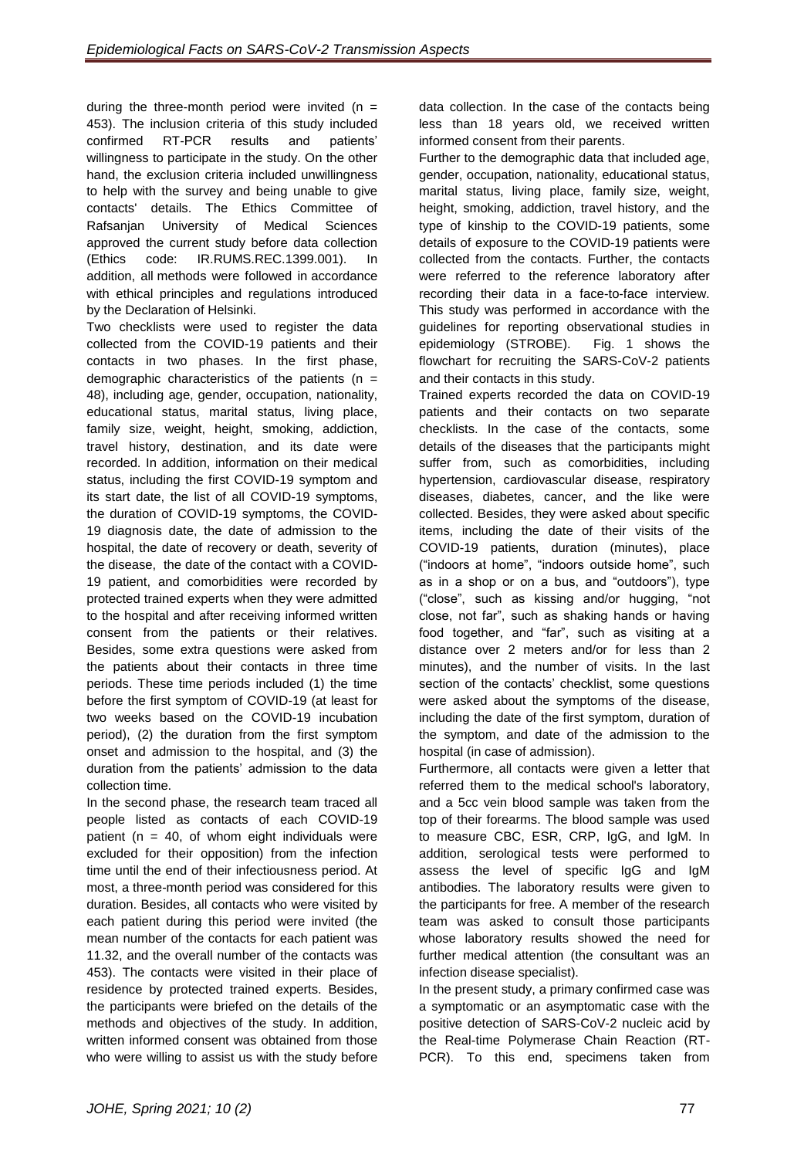during the three-month period were invited ( $n =$ 453). The inclusion criteria of this study included confirmed RT-PCR results and patients' willingness to participate in the study. On the other hand, the exclusion criteria included unwillingness to help with the survey and being unable to give contacts' details. The Ethics Committee of Rafsanjan University of Medical Sciences approved the current study before data collection (Ethics code: IR.RUMS.REC.1399.001). In addition, all methods were followed in accordance with ethical principles and regulations introduced by the Declaration of Helsinki.

Two checklists were used to register the data collected from the COVID-19 patients and their contacts in two phases. In the first phase, demographic characteristics of the patients ( $n =$ 48), including age, gender, occupation, nationality, educational status, marital status, living place, family size, weight, height, smoking, addiction, travel history, destination, and its date were recorded. In addition, information on their medical status, including the first COVID-19 symptom and its start date, the list of all COVID-19 symptoms, the duration of COVID-19 symptoms, the COVID-19 diagnosis date, the date of admission to the hospital, the date of recovery or death, severity of the disease, the date of the contact with a COVID-19 patient, and comorbidities were recorded by protected trained experts when they were admitted to the hospital and after receiving informed written consent from the patients or their relatives. Besides, some extra questions were asked from the patients about their contacts in three time periods. These time periods included (1) the time before the first symptom of COVID-19 (at least for two weeks based on the COVID-19 incubation period), (2) the duration from the first symptom onset and admission to the hospital, and (3) the duration from the patients' admission to the data collection time.

In the second phase, the research team traced all people listed as contacts of each COVID-19 patient ( $n = 40$ , of whom eight individuals were excluded for their opposition) from the infection time until the end of their infectiousness period. At most, a three-month period was considered for this duration. Besides, all contacts who were visited by each patient during this period were invited (the mean number of the contacts for each patient was 11.32, and the overall number of the contacts was 453). The contacts were visited in their place of residence by protected trained experts. Besides, the participants were briefed on the details of the methods and objectives of the study. In addition, written informed consent was obtained from those who were willing to assist us with the study before

data collection. In the case of the contacts being less than 18 years old, we received written informed consent from their parents.

Further to the demographic data that included age, gender, occupation, nationality, educational status, marital status, living place, family size, weight, height, smoking, addiction, travel history, and the type of kinship to the COVID-19 patients, some details of exposure to the COVID-19 patients were collected from the contacts. Further, the contacts were referred to the reference laboratory after recording their data in a face-to-face interview. This study was performed in accordance with the guidelines for reporting observational studies in epidemiology (STROBE). Fig. 1 shows the flowchart for recruiting the SARS-CoV-2 patients and their contacts in this study.

Trained experts recorded the data on COVID-19 patients and their contacts on two separate checklists. In the case of the contacts, some details of the diseases that the participants might suffer from, such as comorbidities, including hypertension, cardiovascular disease, respiratory diseases, diabetes, cancer, and the like were collected. Besides, they were asked about specific items, including the date of their visits of the COVID-19 patients, duration (minutes), place ("indoors at home", "indoors outside home", such as in a shop or on a bus, and "outdoors"), type ("close", such as kissing and/or hugging, "not close, not far", such as shaking hands or having food together, and "far", such as visiting at a distance over 2 meters and/or for less than 2 minutes), and the number of visits. In the last section of the contacts' checklist, some questions were asked about the symptoms of the disease, including the date of the first symptom, duration of the symptom, and date of the admission to the hospital (in case of admission).

Furthermore, all contacts were given a letter that referred them to the medical school's laboratory, and a 5cc vein blood sample was taken from the top of their forearms. The blood sample was used to measure CBC, ESR, CRP, IgG, and IgM. In addition, serological tests were performed to assess the level of specific IgG and IgM antibodies. The laboratory results were given to the participants for free. A member of the research team was asked to consult those participants whose laboratory results showed the need for further medical attention (the consultant was an infection disease specialist).

In the present study, a primary confirmed case was a symptomatic or an asymptomatic case with the positive detection of SARS-CoV-2 nucleic acid by the Real-time Polymerase Chain Reaction (RT-PCR). To this end, specimens taken from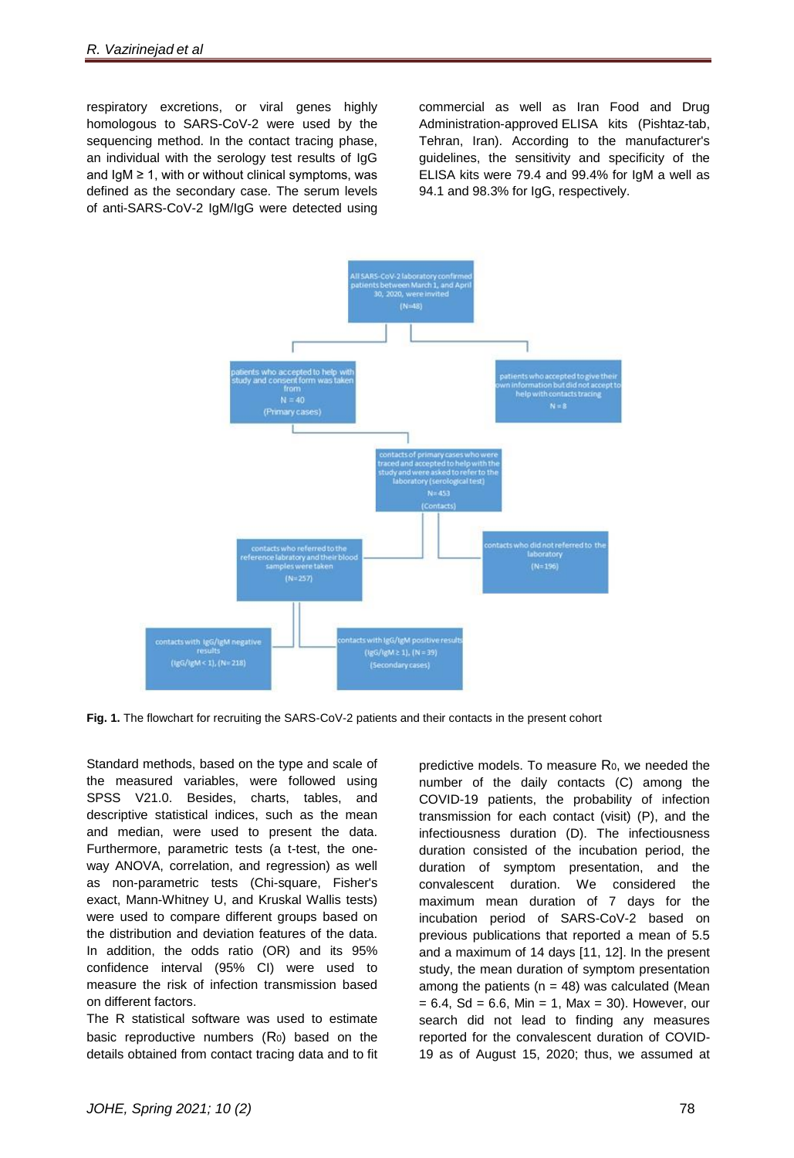respiratory excretions, or viral genes highly homologous to SARS-CoV-2 were used by the sequencing method. In the contact tracing phase, an individual with the serology test results of IgG and  $IgM \geq 1$ , with or without clinical symptoms, was defined as the secondary case. The serum levels of anti-SARS-CoV-2 IgM/IgG were detected using

commercial as well as Iran Food and Drug Administration-approved ELISA kits (Pishtaz-tab, Tehran, Iran). According to the manufacturer's guidelines, the sensitivity and specificity of the ELISA kits were 79.4 and 99.4% for IgM a well as 94.1 and 98.3% for IgG, respectively.



**Fig. 1.** The flowchart for recruiting the SARS-CoV-2 patients and their contacts in the present cohort

Standard methods, based on the type and scale of the measured variables, were followed using SPSS V21.0. Besides, charts, tables, and descriptive statistical indices, such as the mean and median, were used to present the data. Furthermore, parametric tests (a t-test, the oneway ANOVA, correlation, and regression) as well as non-parametric tests (Chi-square, Fisher's exact, Mann-Whitney U, and Kruskal Wallis tests) were used to compare different groups based on the distribution and deviation features of the data. In addition, the odds ratio (OR) and its 95% confidence interval (95% CI) were used to measure the risk of infection transmission based on different factors.

The R statistical software was used to estimate basic reproductive numbers  $(R_0)$  based on the details obtained from contact tracing data and to fit predictive models. To measure R<sub>0</sub>, we needed the number of the daily contacts (C) among the COVID-19 patients, the probability of infection transmission for each contact (visit) (P), and the infectiousness duration (D). The infectiousness duration consisted of the incubation period, the duration of symptom presentation, and the convalescent duration. We considered the maximum mean duration of 7 days for the incubation period of SARS-CoV-2 based on previous publications that reported a mean of 5.5 and a maximum of 14 days [11, 12]. In the present study, the mean duration of symptom presentation among the patients ( $n = 48$ ) was calculated (Mean  $= 6.4$ , Sd  $= 6.6$ , Min  $= 1$ , Max  $= 30$ ). However, our search did not lead to finding any measures reported for the convalescent duration of COVID-19 as of August 15, 2020; thus, we assumed at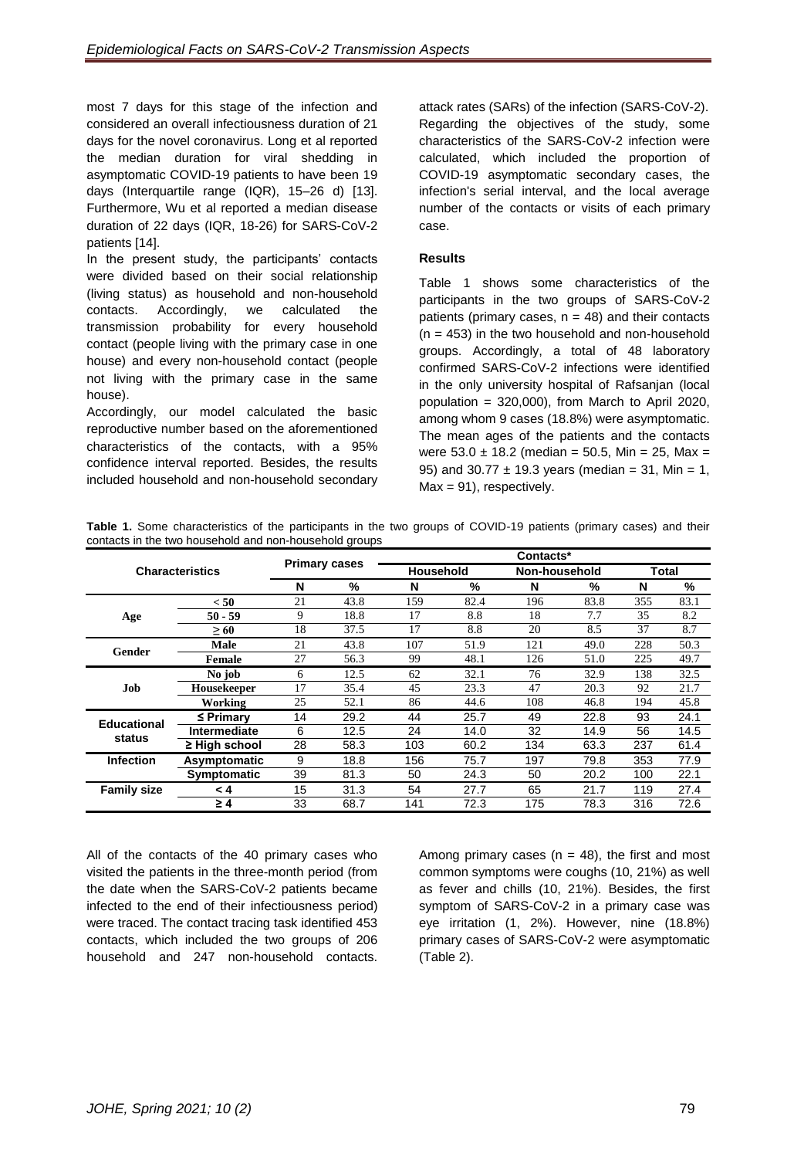most 7 days for this stage of the infection and considered an overall infectiousness duration of 21 days for the novel coronavirus. Long et al reported the median duration for viral shedding in asymptomatic COVID-19 patients to have been 19 days (Interquartile range (IQR), 15–26 d) [13]. Furthermore, Wu et al reported a median disease duration of 22 days (IQR, 18-26) for SARS-CoV-2 patients [14].

In the present study, the participants' contacts were divided based on their social relationship (living status) as household and non-household contacts. Accordingly, we calculated the transmission probability for every household contact (people living with the primary case in one house) and every non-household contact (people not living with the primary case in the same house).

Accordingly, our model calculated the basic reproductive number based on the aforementioned characteristics of the contacts, with a 95% confidence interval reported. Besides, the results included household and non-household secondary

attack rates (SARs) of the infection (SARS-CoV-2). Regarding the objectives of the study, some characteristics of the SARS-CoV-2 infection were calculated, which included the proportion of COVID-19 asymptomatic secondary cases, the infection's serial interval, and the local average number of the contacts or visits of each primary case.

## **Results**

Table 1 shows some characteristics of the participants in the two groups of SARS-CoV-2 patients (primary cases,  $n = 48$ ) and their contacts  $(n = 453)$  in the two household and non-household groups. Accordingly, a total of 48 laboratory confirmed SARS-CoV-2 infections were identified in the only university hospital of Rafsanjan (local population = 320,000), from March to April 2020, among whom 9 cases (18.8%) were asymptomatic. The mean ages of the patients and the contacts were  $53.0 \pm 18.2$  (median = 50.5, Min = 25, Max = 95) and 30.77  $\pm$  19.3 years (median = 31, Min = 1,  $Max = 91$ , respectively.

| Table 1. Some characteristics of the participants in the two groups of COVID-19 patients (primary cases) and their |  |  |  |  |
|--------------------------------------------------------------------------------------------------------------------|--|--|--|--|
| contacts in the two household and non-household groups                                                             |  |  |  |  |

| <b>Characteristics</b> |                    | <b>Primary cases</b> |      | Contacts* |                  |     |               |     |       |
|------------------------|--------------------|----------------------|------|-----------|------------------|-----|---------------|-----|-------|
|                        |                    |                      |      |           | <b>Household</b> |     | Non-household |     | Total |
|                        |                    | N                    | %    | N         | %                | N   | %             | N   | %     |
|                        | < 50               | 21                   | 43.8 | 159       | 82.4             | 196 | 83.8          | 355 | 83.1  |
| Age                    | $50 - 59$          | 9                    | 18.8 | 17        | 8.8              | 18  | 7.7           | 35  | 8.2   |
|                        | $\geq 60$          | 18                   | 37.5 | 17        | 8.8              | 20  | 8.5           | 37  | 8.7   |
| <b>Gender</b>          | <b>Male</b>        | 21                   | 43.8 | 107       | 51.9             | 121 | 49.0          | 228 | 50.3  |
|                        | Female             | 27                   | 56.3 | 99        | 48.1             | 126 | 51.0          | 225 | 49.7  |
|                        | No job             | 6                    | 12.5 | 62        | 32.1             | 76  | 32.9          | 138 | 32.5  |
| Job                    | <b>Housekeeper</b> | 17                   | 35.4 | 45        | 23.3             | 47  | 20.3          | 92  | 21.7  |
|                        | Working            | 25                   | 52.1 | 86        | 44.6             | 108 | 46.8          | 194 | 45.8  |
| <b>Educational</b>     | $\leq$ Primary     | 14                   | 29.2 | 44        | 25.7             | 49  | 22.8          | 93  | 24.1  |
| status                 | Intermediate       | 6                    | 12.5 | 24        | 14.0             | 32  | 14.9          | 56  | 14.5  |
|                        | $\geq$ High school | 28                   | 58.3 | 103       | 60.2             | 134 | 63.3          | 237 | 61.4  |
| <b>Infection</b>       | Asymptomatic       | 9                    | 18.8 | 156       | 75.7             | 197 | 79.8          | 353 | 77.9  |
|                        | Symptomatic        | 39                   | 81.3 | 50        | 24.3             | 50  | 20.2          | 100 | 22.1  |
| <b>Family size</b>     | < 4                | 15                   | 31.3 | 54        | 27.7             | 65  | 21.7          | 119 | 27.4  |
|                        | $\geq 4$           | 33                   | 68.7 | 141       | 72.3             | 175 | 78.3          | 316 | 72.6  |

All of the contacts of the 40 primary cases who visited the patients in the three-month period (from the date when the SARS-CoV-2 patients became infected to the end of their infectiousness period) were traced. The contact tracing task identified 453 contacts, which included the two groups of 206 household and 247 non-household contacts.

Among primary cases ( $n = 48$ ), the first and most common symptoms were coughs (10, 21%) as well as fever and chills (10, 21%). Besides, the first symptom of SARS-CoV-2 in a primary case was eye irritation (1, 2%). However, nine (18.8%) primary cases of SARS-CoV-2 were asymptomatic (Table 2).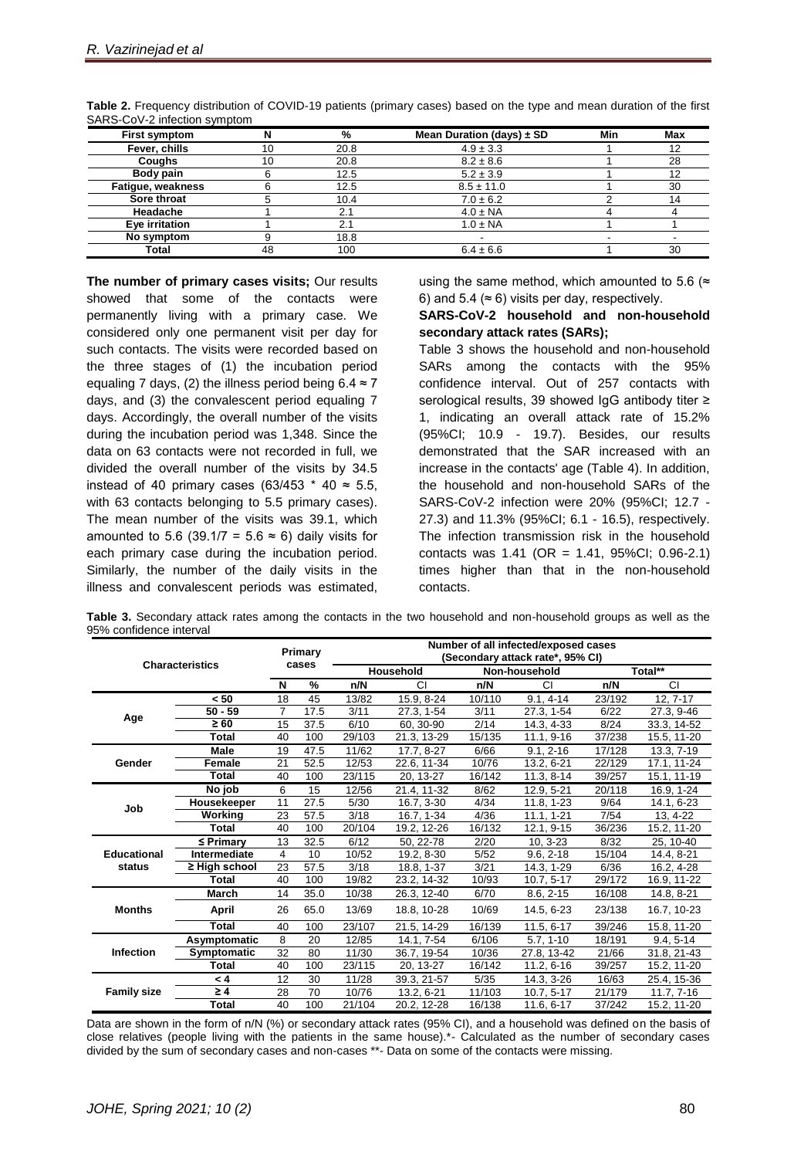| <b>First symptom</b> |    | %    | Mean Duration (days) $\pm$ SD | Min | Max |
|----------------------|----|------|-------------------------------|-----|-----|
| Fever, chills        | 10 | 20.8 | $4.9 \pm 3.3$                 |     | 12  |
| <b>Coughs</b>        |    | 20.8 | $8.2 \pm 8.6$                 |     | 28  |
| Body pain            |    | 12.5 | $5.2 \pm 3.9$                 |     | 12  |
| Fatigue, weakness    |    | 12.5 | $8.5 \pm 11.0$                |     | 30  |
| Sore throat          |    | 10.4 | $7.0 \pm 6.2$                 |     | 14  |
| Headache             |    | 2.1  | $4.0 \pm NA$                  |     |     |
| Eye irritation       |    | 2.1  | $1.0 \pm NA$                  |     |     |
| No symptom           |    | 18.8 |                               |     |     |
| Total                | 48 | 100  | $6.4 \pm 6.6$                 |     | 30  |

**Table 2.** Frequency distribution of COVID-19 patients (primary cases) based on the type and mean duration of the first SARS-CoV-2 infection symptom

**The number of primary cases visits;** Our results showed that some of the contacts were permanently living with a primary case. We considered only one permanent visit per day for such contacts. The visits were recorded based on the three stages of (1) the incubation period equaling 7 days, (2) the illness period being  $6.4 \approx 7$ days, and (3) the convalescent period equaling 7 days. Accordingly, the overall number of the visits during the incubation period was 1,348. Since the data on 63 contacts were not recorded in full, we divided the overall number of the visits by 34.5 instead of 40 primary cases (63/453  $*$  40  $\approx$  5.5, with 63 contacts belonging to 5.5 primary cases). The mean number of the visits was 39.1, which amounted to 5.6 (39.1/7 = 5.6  $\approx$  6) daily visits for each primary case during the incubation period. Similarly, the number of the daily visits in the illness and convalescent periods was estimated,

using the same method, which amounted to 5.6 ( $\approx$ 6) and 5.4 ( $\approx$  6) visits per day, respectively.

#### **SARS-CoV-2 household and non-household secondary attack rates (SARs);**

Table 3 shows the household and non-household SARs among the contacts with the 95% confidence interval. Out of 257 contacts with serological results, 39 showed IgG antibody titer ≥ 1, indicating an overall attack rate of 15.2% (95%CI; 10.9 - 19.7). Besides, our results demonstrated that the SAR increased with an increase in the contacts' age (Table 4). In addition, the household and non-household SARs of the SARS-CoV-2 infection were 20% (95%CI; 12.7 - 27.3) and 11.3% (95%CI; 6.1 - 16.5), respectively. The infection transmission risk in the household contacts was 1.41 (OR = 1.41, 95%CI; 0.96-2.1) times higher than that in the non-household contacts.

**Table 3.** Secondary attack rates among the contacts in the two household and non-household groups as well as the 95% confidence interval

| <b>Characteristics</b> |                     | Primary<br>cases |      | Number of all infected/exposed cases<br>(Secondary attack rate*, 95% CI) |             |               |               |         |              |  |
|------------------------|---------------------|------------------|------|--------------------------------------------------------------------------|-------------|---------------|---------------|---------|--------------|--|
|                        |                     |                  |      | <b>Household</b>                                                         |             | Non-household |               | Total** |              |  |
|                        |                     | N                | %    | n/N                                                                      | <b>CI</b>   | n/N           | CI            | n/N     | <b>CI</b>    |  |
|                        | < 50                | 18               | 45   | 13/82                                                                    | 15.9, 8-24  | 10/110        | $9.1, 4-14$   | 23/192  | 12, 7-17     |  |
|                        | $50 - 59$           | 7                | 17.5 | 3/11                                                                     | 27.3, 1-54  | 3/11          | 27.3, 1-54    | 6/22    | 27.3, 9-46   |  |
| Age                    | $\geq 60$           | 15               | 37.5 | 6/10                                                                     | 60.30-90    | 2/14          | 14.3, 4-33    | 8/24    | 33.3, 14-52  |  |
|                        | <b>Total</b>        | 40               | 100  | 29/103                                                                   | 21.3, 13-29 | 15/135        | 11.1, 9-16    | 37/238  | 15.5, 11-20  |  |
|                        | <b>Male</b>         | 19               | 47.5 | 11/62                                                                    | 17.7, 8-27  | 6/66          | $9.1, 2 - 16$ | 17/128  | 13.3, 7-19   |  |
| Gender                 | <b>Female</b>       | 21               | 52.5 | 12/53                                                                    | 22.6, 11-34 | 10/76         | 13.2, 6-21    | 22/129  | 17.1, 11-24  |  |
|                        | Total               | 40               | 100  | 23/115                                                                   | 20, 13-27   | 16/142        | $11.3, 8-14$  | 39/257  | 15.1, 11-19  |  |
|                        | No job              | 6                | 15   | 12/56                                                                    | 21.4, 11-32 | 8/62          | 12.9, 5-21    | 20/118  | 16.9, 1-24   |  |
| Job                    | Housekeeper         | 11               | 27.5 | 5/30                                                                     | 16.7, 3-30  | 4/34          | 11.8, 1-23    | 9/64    | 14.1, 6-23   |  |
|                        | Working             | 23               | 57.5 | 3/18                                                                     | 16.7, 1-34  | 4/36          | $11.1, 1-21$  | 7/54    | 13, 4-22     |  |
|                        | Total               | 40               | 100  | 20/104                                                                   | 19.2, 12-26 | 16/132        | 12.1, 9-15    | 36/236  | 15.2, 11-20  |  |
|                        | $\leq$ Primary      | 13               | 32.5 | 6/12                                                                     | 50, 22-78   | 2/20          | $10, 3-23$    | 8/32    | 25, 10-40    |  |
| <b>Educational</b>     | <b>Intermediate</b> | 4                | 10   | 10/52                                                                    | 19.2, 8-30  | 5/52          | $9.6, 2-18$   | 15/104  | 14.4, 8-21   |  |
| status                 | ≥ High school       | 23               | 57.5 | 3/18                                                                     | 18.8, 1-37  | 3/21          | 14.3, 1-29    | 6/36    | 16.2, 4-28   |  |
|                        | Total               | 40               | 100  | 19/82                                                                    | 23.2, 14-32 | 10/93         | $10.7, 5-17$  | 29/172  | 16.9, 11-22  |  |
|                        | <b>March</b>        | 14               | 35.0 | 10/38                                                                    | 26.3, 12-40 | 6/70          | 8.6, 2-15     | 16/108  | 14.8, 8-21   |  |
| <b>Months</b>          | April               | 26               | 65.0 | 13/69                                                                    | 18.8, 10-28 | 10/69         | 14.5, 6-23    | 23/138  | 16.7, 10-23  |  |
|                        | <b>Total</b>        | 40               | 100  | 23/107                                                                   | 21.5, 14-29 | 16/139        | 11.5, 6-17    | 39/246  | 15.8, 11-20  |  |
|                        | Asymptomatic        | 8                | 20   | 12/85                                                                    | 14.1, 7-54  | 6/106         | $5.7, 1-10$   | 18/191  | $9.4, 5-14$  |  |
| <b>Infection</b>       | Symptomatic         | 32               | 80   | 11/30                                                                    | 36.7, 19-54 | 10/36         | 27.8, 13-42   | 21/66   | 31.8, 21-43  |  |
|                        | Total               | 40               | 100  | 23/115                                                                   | 20, 13-27   | 16/142        | 11.2, 6-16    | 39/257  | 15.2, 11-20  |  |
|                        | < 4                 | 12               | 30   | 11/28                                                                    | 39.3, 21-57 | 5/35          | 14.3, 3-26    | 16/63   | 25.4, 15-36  |  |
| <b>Family size</b>     | $\geq 4$            | 28               | 70   | 10/76                                                                    | 13.2, 6-21  | 11/103        | $10.7, 5-17$  | 21/179  | $11.7, 7-16$ |  |
|                        | <b>Total</b>        | 40               | 100  | 21/104                                                                   | 20.2, 12-28 | 16/138        | 11.6, 6-17    | 37/242  | 15.2, 11-20  |  |

Data are shown in the form of n/N (%) or secondary attack rates (95% CI), and a household was defined on the basis of close relatives (people living with the patients in the same house).\*- Calculated as the number of secondary cases divided by the sum of secondary cases and non-cases \*\*- Data on some of the contacts were missing.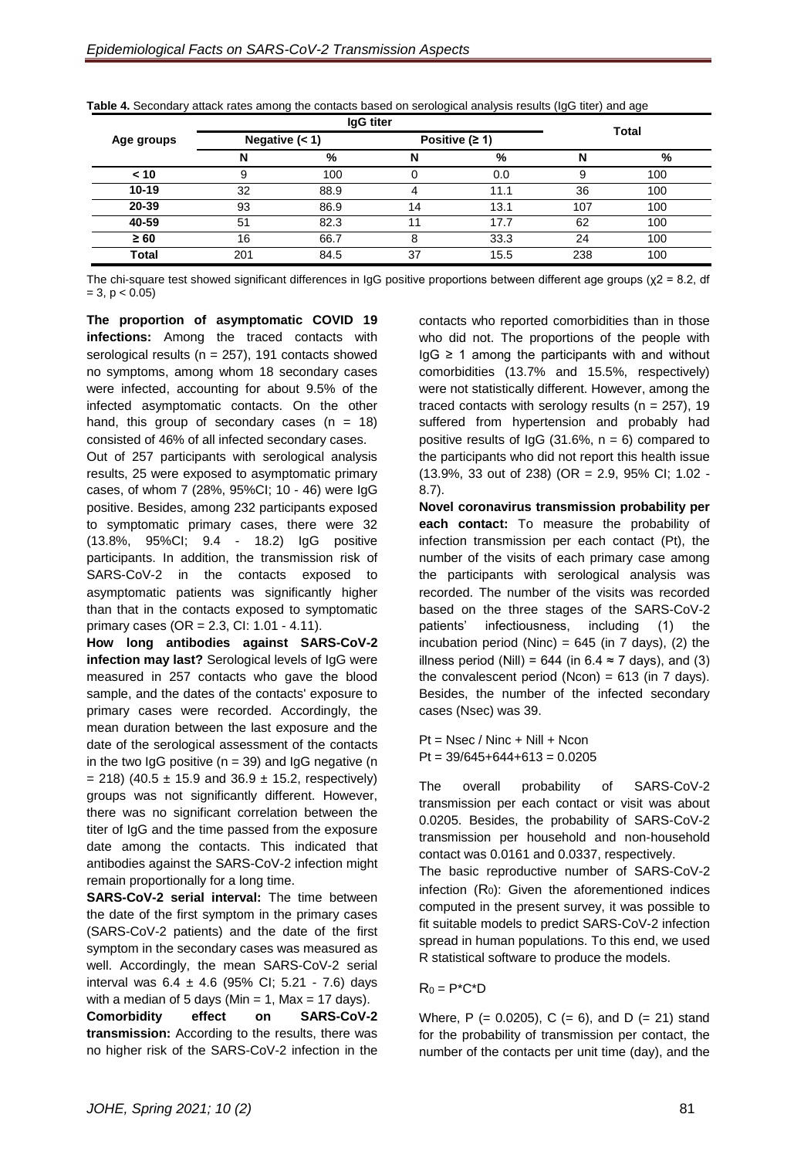|            |                  | <b>IgG</b> titer | <b>Total</b> |                  |     |     |  |
|------------|------------------|------------------|--------------|------------------|-----|-----|--|
| Age groups | Negative $(< 1)$ |                  |              | Positive $(2 1)$ |     |     |  |
|            | N                | $\frac{9}{6}$    |              | %                |     | %   |  |
| < 10       | 9                | 100              |              | 0.0              | 9   | 100 |  |
| $10 - 19$  | 32               | 88.9             |              | 11.1             | 36  | 100 |  |
| 20-39      | 93               | 86.9             | 14           | 13.1             | 107 | 100 |  |
| 40-59      | 51               | 82.3             |              | 17.7             | 62  | 100 |  |
| $\geq 60$  | 16               | 66.7             |              | 33.3             | 24  | 100 |  |
| Total      | 201              | 84.5             | 37           | 15.5             | 238 | 100 |  |

**Table 4.** Secondary attack rates among the contacts based on serological analysis results (IgG titer) and age

The chi-square test showed significant differences in IgG positive proportions between different age groups ( $\chi$ 2 = 8.2, df  $= 3, p < 0.05$ 

**The proportion of asymptomatic COVID 19 infections:** Among the traced contacts with serological results ( $n = 257$ ), 191 contacts showed no symptoms, among whom 18 secondary cases were infected, accounting for about 9.5% of the infected asymptomatic contacts. On the other hand, this group of secondary cases  $(n = 18)$ consisted of 46% of all infected secondary cases.

Out of 257 participants with serological analysis results, 25 were exposed to asymptomatic primary cases, of whom 7 (28%, 95%CI; 10 - 46) were IgG positive. Besides, among 232 participants exposed to symptomatic primary cases, there were 32 (13.8%, 95%CI; 9.4 - 18.2) IgG positive participants. In addition, the transmission risk of SARS-CoV-2 in the contacts exposed to asymptomatic patients was significantly higher than that in the contacts exposed to symptomatic primary cases (OR = 2.3, CI: 1.01 - 4.11).

**How long antibodies against SARS-CoV-2 infection may last?** Serological levels of IgG were measured in 257 contacts who gave the blood sample, and the dates of the contacts' exposure to primary cases were recorded. Accordingly, the mean duration between the last exposure and the date of the serological assessment of the contacts in the two IgG positive ( $n = 39$ ) and IgG negative ( $n = 1$  $= 218$ ) (40.5  $\pm$  15.9 and 36.9  $\pm$  15.2, respectively) groups was not significantly different. However, there was no significant correlation between the titer of IgG and the time passed from the exposure date among the contacts. This indicated that antibodies against the SARS-CoV-2 infection might remain proportionally for a long time.

**SARS-CoV-2 serial interval:** The time between the date of the first symptom in the primary cases (SARS-CoV-2 patients) and the date of the first symptom in the secondary cases was measured as well. Accordingly, the mean SARS-CoV-2 serial interval was  $6.4 \pm 4.6$  (95% CI; 5.21 - 7.6) days with a median of 5 days (Min = 1, Max = 17 days).

**Comorbidity effect on SARS-CoV-2 transmission:** According to the results, there was no higher risk of the SARS-CoV-2 infection in the

contacts who reported comorbidities than in those who did not. The proportions of the people with  $IqG \geq 1$  among the participants with and without comorbidities (13.7% and 15.5%, respectively) were not statistically different. However, among the traced contacts with serology results ( $n = 257$ ), 19 suffered from hypertension and probably had positive results of  $lgG$  (31.6%,  $n = 6$ ) compared to the participants who did not report this health issue (13.9%, 33 out of 238) (OR = 2.9, 95% CI; 1.02 - 8.7).

**Novel coronavirus transmission probability per each contact:** To measure the probability of infection transmission per each contact (Pt), the number of the visits of each primary case among the participants with serological analysis was recorded. The number of the visits was recorded based on the three stages of the SARS-CoV-2 patients' infectiousness, including (1) the incubation period (Ninc) =  $645$  (in 7 days), (2) the illness period (Nill) = 644 (in 6.4  $\approx$  7 days), and (3) the convalescent period (Ncon) =  $613$  (in 7 days). Besides, the number of the infected secondary cases (Nsec) was 39.

 $Pt = Nsec / Ninc + Nill + Ncon$  $Pt = 39/645+644+613 = 0.0205$ 

The overall probability of SARS-CoV-2 transmission per each contact or visit was about 0.0205. Besides, the probability of SARS-CoV-2 transmission per household and non-household contact was 0.0161 and 0.0337, respectively.

The basic reproductive number of SARS-CoV-2 infection (R0): Given the aforementioned indices computed in the present survey, it was possible to fit suitable models to predict SARS-CoV-2 infection spread in human populations. To this end, we used R statistical software to produce the models.

### $R_0 = P^*C^*D$

Where, P (=  $0.0205$ ), C (=  $6$ ), and D (=  $21$ ) stand for the probability of transmission per contact, the number of the contacts per unit time (day), and the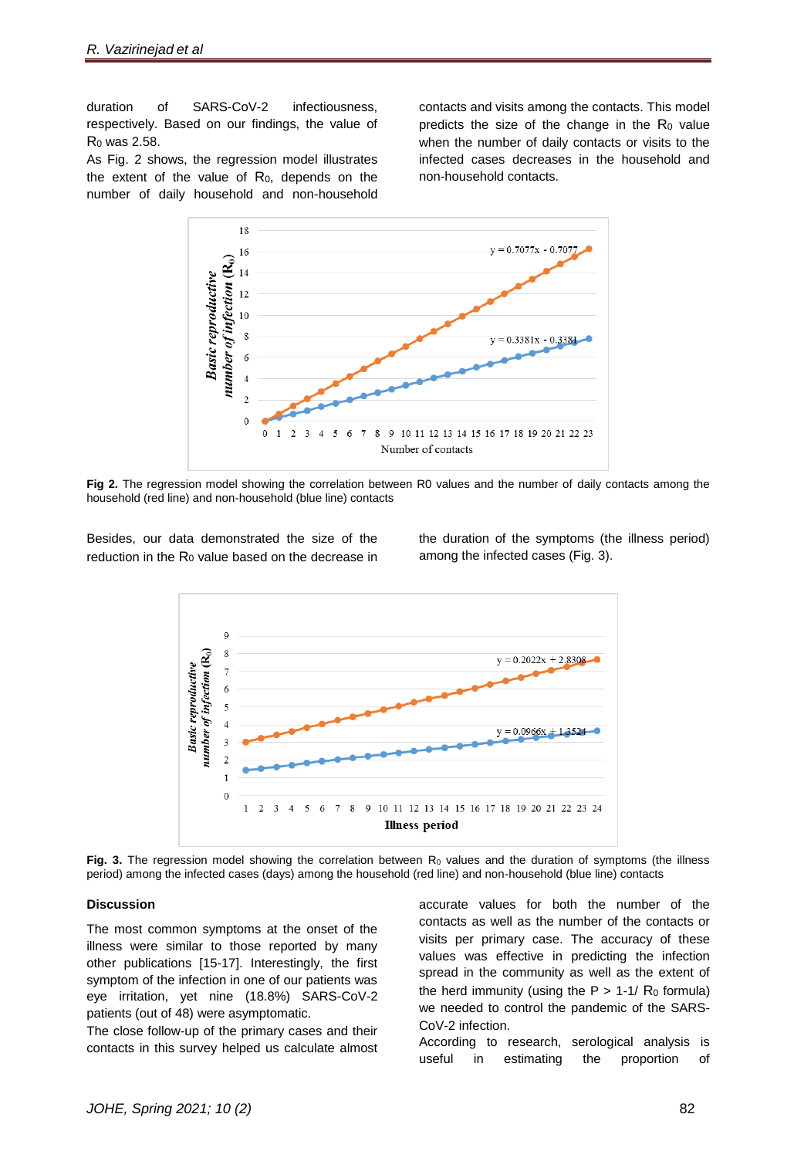duration of SARS-CoV-2 infectiousness, respectively. Based on our findings, the value of R<sup>0</sup> was 2.58.

As Fig. 2 shows, the regression model illustrates the extent of the value of  $R_0$ , depends on the number of daily household and non-household

contacts and visits among the contacts. This model predicts the size of the change in the  $Ro$  value when the number of daily contacts or visits to the infected cases decreases in the household and non-household contacts.



**Fig 2.** The regression model showing the correlation between R0 values and the number of daily contacts among the household (red line) and non-household (blue line) contacts

Besides, our data demonstrated the size of the reduction in the R<sub>0</sub> value based on the decrease in the duration of the symptoms (the illness period) among the infected cases (Fig. 3).



Fig. 3. The regression model showing the correlation between  $R_0$  values and the duration of symptoms (the illness period) among the infected cases (days) among the household (red line) and non-household (blue line) contacts

#### **Discussion**

The most common symptoms at the onset of the illness were similar to those reported by many other publications [15-17]. Interestingly, the first symptom of the infection in one of our patients was eye irritation, yet nine (18.8%) SARS-CoV-2 patients (out of 48) were asymptomatic.

The close follow-up of the primary cases and their contacts in this survey helped us calculate almost accurate values for both the number of the contacts as well as the number of the contacts or visits per primary case. The accuracy of these values was effective in predicting the infection spread in the community as well as the extent of the herd immunity (using the  $P > 1-1/ R_0$  formula) we needed to control the pandemic of the SARS-CoV-2 infection.

According to research, serological analysis is useful in estimating the proportion of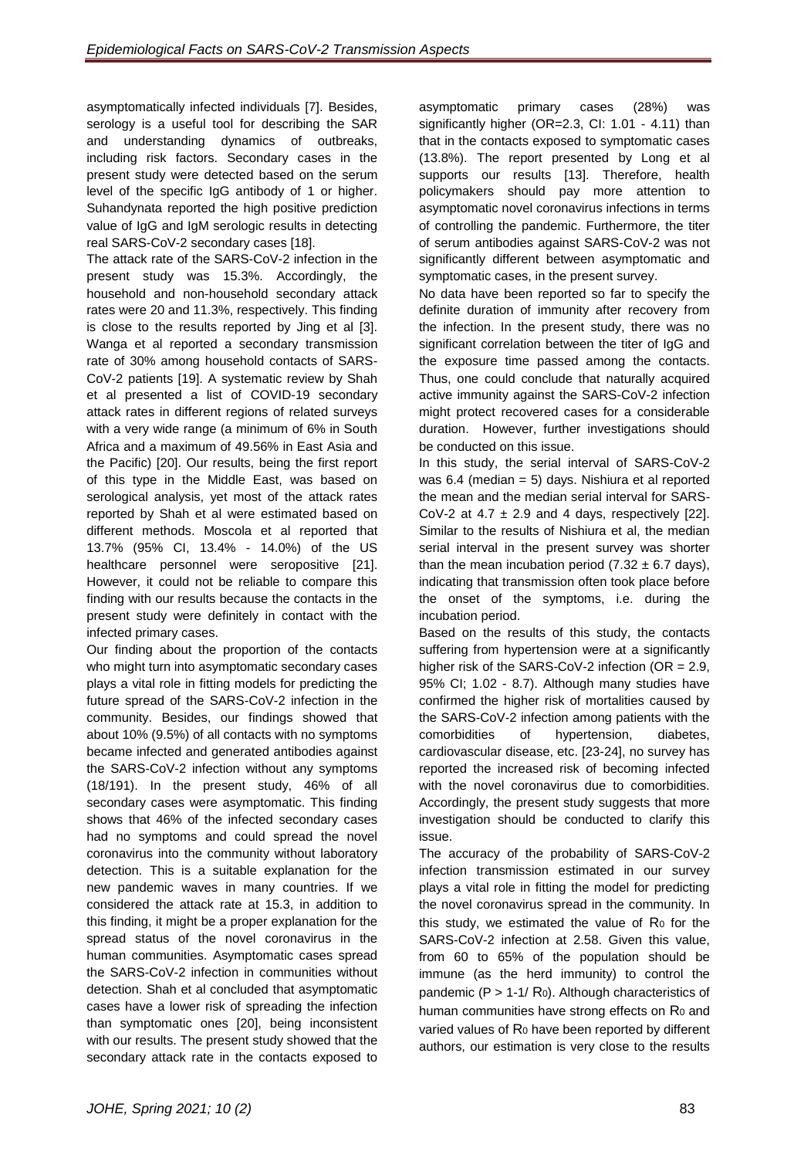asymptomatically infected individuals [7]. Besides, serology is a useful tool for describing the SAR and understanding dynamics of outbreaks, including risk factors. Secondary cases in the present study were detected based on the serum level of the specific IgG antibody of 1 or higher. Suhandynata reported the high positive prediction value of IgG and IgM serologic results in detecting real SARS-CoV-2 secondary cases [18].

The attack rate of the SARS-CoV-2 infection in the present study was 15.3%. Accordingly, the household and non-household secondary attack rates were 20 and 11.3%, respectively. This finding is close to the results reported by Jing et al [3]. Wanga et al reported a secondary transmission rate of 30% among household contacts of SARS-CoV-2 patients [19]. A systematic review by Shah et al presented a list of COVID-19 secondary attack rates in different regions of related surveys with a very wide range (a minimum of 6% in South Africa and a maximum of 49.56% in East Asia and the Pacific) [20]. Our results, being the first report of this type in the Middle East, was based on serological analysis, yet most of the attack rates reported by Shah et al were estimated based on different methods. Moscola et al reported that 13.7% (95% CI, 13.4% - 14.0%) of the US healthcare personnel were seropositive [21]. However, it could not be reliable to compare this finding with our results because the contacts in the present study were definitely in contact with the infected primary cases.

Our finding about the proportion of the contacts who might turn into asymptomatic secondary cases plays a vital role in fitting models for predicting the future spread of the SARS-CoV-2 infection in the community. Besides, our findings showed that about 10% (9.5%) of all contacts with no symptoms became infected and generated antibodies against the SARS-CoV-2 infection without any symptoms (18/191). In the present study, 46% of all secondary cases were asymptomatic. This finding shows that 46% of the infected secondary cases had no symptoms and could spread the novel coronavirus into the community without laboratory detection. This is a suitable explanation for the new pandemic waves in many countries. If we considered the attack rate at 15.3, in addition to this finding, it might be a proper explanation for the spread status of the novel coronavirus in the human communities. Asymptomatic cases spread the SARS-CoV-2 infection in communities without detection. Shah et al concluded that asymptomatic cases have a lower risk of spreading the infection than symptomatic ones [20], being inconsistent with our results. The present study showed that the secondary attack rate in the contacts exposed to

asymptomatic primary cases (28%) was significantly higher (OR=2.3, CI: 1.01 - 4.11) than that in the contacts exposed to symptomatic cases (13.8%). The report presented by Long et al supports our results [13]. Therefore, health policymakers should pay more attention to asymptomatic novel coronavirus infections in terms of controlling the pandemic. Furthermore, the titer of serum antibodies against SARS-CoV-2 was not significantly different between asymptomatic and symptomatic cases, in the present survey.

No data have been reported so far to specify the definite duration of immunity after recovery from the infection. In the present study, there was no significant correlation between the titer of IgG and the exposure time passed among the contacts. Thus, one could conclude that naturally acquired active immunity against the SARS-CoV-2 infection might protect recovered cases for a considerable duration. However, further investigations should be conducted on this issue.

In this study, the serial interval of SARS-CoV-2 was 6.4 (median = 5) days. Nishiura et al reported the mean and the median serial interval for SARS-CoV-2 at 4.7  $\pm$  2.9 and 4 days, respectively [22]. Similar to the results of Nishiura et al, the median serial interval in the present survey was shorter than the mean incubation period  $(7.32 \pm 6.7 \text{ days})$ , indicating that transmission often took place before the onset of the symptoms, i.e. during the incubation period.

Based on the results of this study, the contacts suffering from hypertension were at a significantly higher risk of the SARS-CoV-2 infection (OR = 2.9, 95% CI; 1.02 - 8.7). Although many studies have confirmed the higher risk of mortalities caused by the SARS-CoV-2 infection among patients with the comorbidities of hypertension, diabetes, cardiovascular disease, etc. [23-24], no survey has reported the increased risk of becoming infected with the novel coronavirus due to comorbidities. Accordingly, the present study suggests that more investigation should be conducted to clarify this issue.

The accuracy of the probability of SARS-CoV-2 infection transmission estimated in our survey plays a vital role in fitting the model for predicting the novel coronavirus spread in the community. In this study, we estimated the value of  $R_0$  for the SARS-CoV-2 infection at 2.58. Given this value, from 60 to 65% of the population should be immune (as the herd immunity) to control the pandemic ( $P > 1-1/ R_0$ ). Although characteristics of human communities have strong effects on  $R_0$  and varied values of  $R_0$  have been reported by different authors, our estimation is very close to the results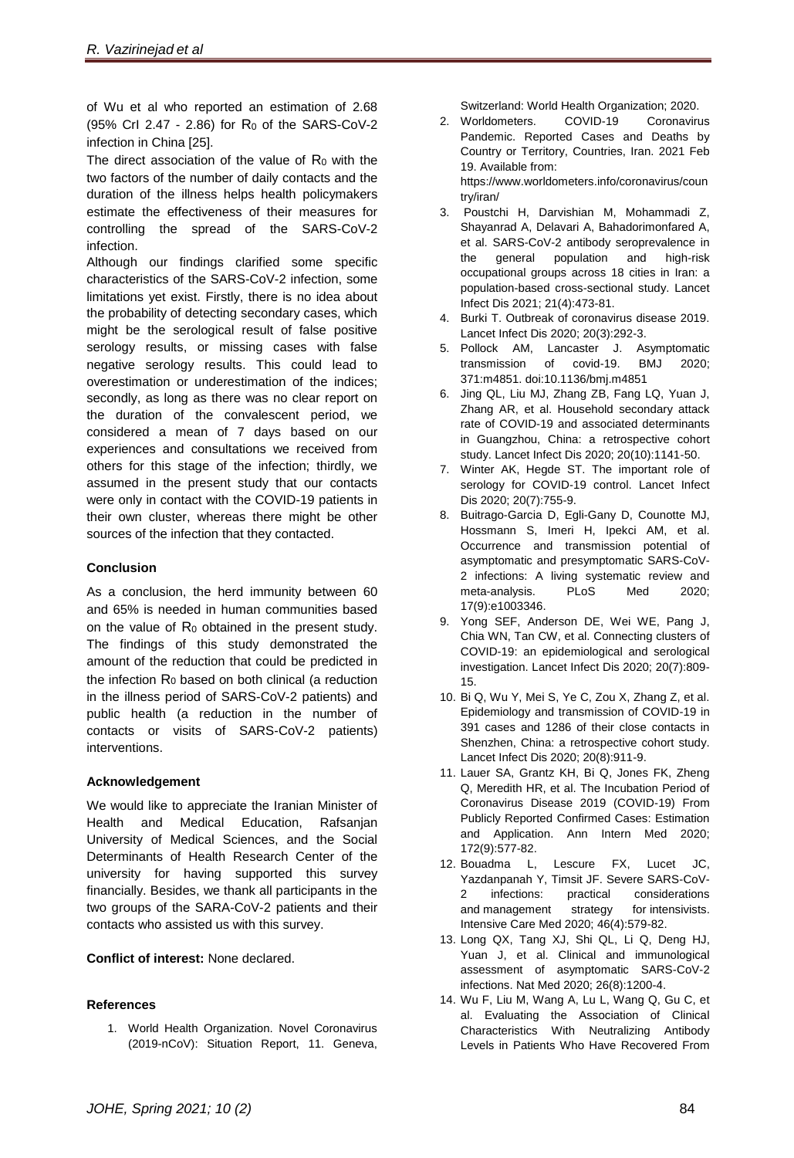of Wu et al who reported an estimation of 2.68 (95% CrI 2.47 - 2.86) for R<sup>0</sup> of the SARS-CoV-2 infection in China [25].

The direct association of the value of  $R_0$  with the two factors of the number of daily contacts and the duration of the illness helps health policymakers estimate the effectiveness of their measures for controlling the spread of the SARS-CoV-2 infection.

Although our findings clarified some specific characteristics of the SARS-CoV-2 infection, some limitations yet exist. Firstly, there is no idea about the probability of detecting secondary cases, which might be the serological result of false positive serology results, or missing cases with false negative serology results. This could lead to overestimation or underestimation of the indices; secondly, as long as there was no clear report on the duration of the convalescent period, we considered a mean of 7 days based on our experiences and consultations we received from others for this stage of the infection; thirdly, we assumed in the present study that our contacts were only in contact with the COVID-19 patients in their own cluster, whereas there might be other sources of the infection that they contacted.

# **Conclusion**

As a conclusion, the herd immunity between 60 and 65% is needed in human communities based on the value of  $R_0$  obtained in the present study. The findings of this study demonstrated the amount of the reduction that could be predicted in the infection  $R_0$  based on both clinical (a reduction in the illness period of SARS-CoV-2 patients) and public health (a reduction in the number of contacts or visits of SARS-CoV-2 patients) interventions.

# **Acknowledgement**

We would like to appreciate the Iranian Minister of Health and Medical Education, Rafsanjan University of Medical Sciences, and the Social Determinants of Health Research Center of the university for having supported this survey financially. Besides, we thank all participants in the two groups of the SARA-CoV-2 patients and their contacts who assisted us with this survey.

**Conflict of interest:** None declared.

# **References**

1. World Health Organization. Novel Coronavirus (2019-nCoV): Situation Report, 11. Geneva,

Switzerland: World Health Organization; 2020.

- 2. Worldometers. COVID-19 Coronavirus Pandemic. Reported Cases and Deaths by Country or Territory, Countries, Iran. 2021 Feb 19. Available from: [https://www.worldometers.info/coronavirus/coun](https://www.worldometers.info/coronavirus/country/iran/) [try/iran/](https://www.worldometers.info/coronavirus/country/iran/)
- 3. Poustchi H, Darvishian M, Mohammadi Z, Shayanrad A, Delavari A, Bahadorimonfared A, et al. SARS-CoV-2 antibody seroprevalence in the general population and high-risk occupational groups across 18 cities in Iran: a population-based cross-sectional study. Lancet Infect Dis 2021; 21(4):473-81.
- 4. Burki T. Outbreak of coronavirus disease 2019. [Lancet Infect Dis](https://www.ncbi.nlm.nih.gov/pmc/articles/PMC7128260/) 2020; 20(3):292-3.
- 5. Pollock AM, Lancaster J. Asymptomatic transmission of covid-19. BMJ 2020; 371:m4851. doi[:10.1136/bmj.m4851](http://dx.doi.org/10.1136/bmj.m485)
- 6. Jing QL, Liu MJ, Zhang ZB, Fang LQ, Yuan J, Zhang AR, et al. Household secondary attack rate of COVID-19 and associated determinants in Guangzhou, China: a retrospective cohort study. Lancet Infect Dis 2020; 20(10):1141-50.
- 7. Winter AK, Hegde ST. The important role of serology for COVID-19 control. Lancet Infect Dis 2020; 20(7):755-9.
- 8. Buitrago-Garcia D, Egli-Gany D, Counotte MJ, Hossmann S, Imeri H, Ipekci AM, et al. Occurrence and transmission potential of asymptomatic and presymptomatic SARS-CoV-2 infections: A living systematic review and meta-analysis. PLoS Med 2020; 17(9):e1003346.
- 9. Yong SEF, Anderson DE, Wei WE, Pang J, Chia WN, Tan CW, et al. Connecting clusters of COVID-19: an epidemiological and serological investigation. Lancet Infect Dis 2020; 20(7):809- 15.
- 10. Bi Q, Wu Y, Mei S, Ye C, Zou X, Zhang Z, et al. Epidemiology and transmission of COVID-19 in 391 cases and 1286 of their close contacts in Shenzhen, China: a retrospective cohort study. Lancet Infect Dis 2020; 20(8):911-9.
- 11. Lauer SA, Grantz KH, Bi Q, Jones FK, Zheng Q, Meredith HR, et al. The Incubation Period of Coronavirus Disease 2019 (COVID-19) From Publicly Reported Confirmed Cases: Estimation and Application. Ann Intern Med 2020; 172(9):577-82.
- 12. Bouadma L, Lescure FX, Lucet JC, Yazdanpanah Y, Timsit JF. Severe SARS-CoV-2 infections: practical considerations and management strategy for intensivists. Intensive Care Med 2020; 46(4):579-82.
- 13. Long QX, Tang XJ, Shi QL, [Li](javascript:;) Q, [Deng](javascript:;) HJ, [Yuan](javascript:;) J, et al. Clinical and immunological assessment of asymptomatic SARS-CoV-2 infections. Nat Med 2020; 26(8):1200-4.
- 14. Wu F, Liu M, Wang A, Lu L, Wang Q, Gu C, et al. Evaluating the Association of Clinical Characteristics With Neutralizing Antibody Levels in Patients Who Have Recovered From